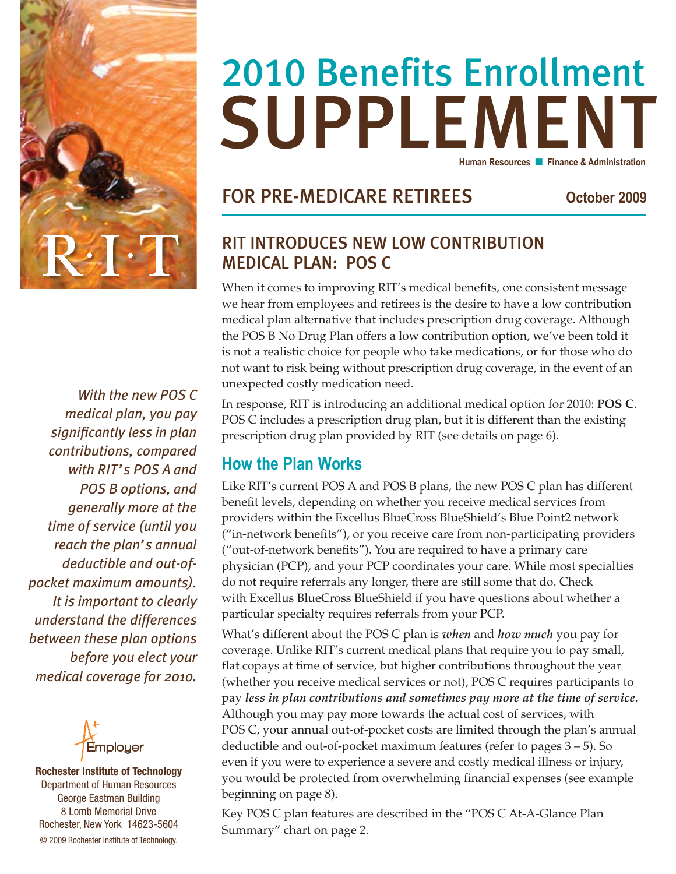

*With the new POS C medical plan, you pay significantly less in plan contributions, compared with RIT's POS A and POS B options, and generally more at the time of service (until you reach the plan's annual deductible and out-ofpocket maximum amounts). It is important to clearly understand the differences between these plan options before you elect your medical coverage for 2010.*



**Rochester Institute of Technology** Department of Human Resources George Eastman Building 8 Lomb Memorial Drive Rochester, New York 14623-5604 © 2009 Rochester Institute of Technology.

### **SUPPLEMENT** 2010 Benefits Enrollment **Human Resources n** Finance & Administration

### FOR pre-medicare retirees **October 2009**

### RIT INTRODUCES NEW LOW CONTRIBUTION MEDICAL PLAN: POS C

When it comes to improving RIT's medical benefits, one consistent message we hear from employees and retirees is the desire to have a low contribution medical plan alternative that includes prescription drug coverage. Although the POS B No Drug Plan offers a low contribution option, we've been told it is not a realistic choice for people who take medications, or for those who do not want to risk being without prescription drug coverage, in the event of an unexpected costly medication need.

In response, RIT is introducing an additional medical option for 2010: **POS C**. POS C includes a prescription drug plan, but it is different than the existing prescription drug plan provided by RIT (see details on page 6).

### **How the Plan Works**

Like RIT's current POS A and POS B plans, the new POS C plan has different benefit levels, depending on whether you receive medical services from providers within the Excellus BlueCross BlueShield's Blue Point2 network ("in-network benefits"), or you receive care from non-participating providers ("out-of-network benefits"). You are required to have a primary care physician (PCP), and your PCP coordinates your care. While most specialties do not require referrals any longer, there are still some that do. Check with Excellus BlueCross BlueShield if you have questions about whether a particular specialty requires referrals from your PCP.

What's different about the POS C plan is *when* and *how much* you pay for coverage. Unlike RIT's current medical plans that require you to pay small, flat copays at time of service, but higher contributions throughout the year (whether you receive medical services or not), POS C requires participants to pay *less in plan contributions and sometimes pay more at the time of service*. Although you may pay more towards the actual cost of services, with POS C, your annual out-of-pocket costs are limited through the plan's annual deductible and out-of-pocket maximum features (refer to pages 3 – 5). So even if you were to experience a severe and costly medical illness or injury, you would be protected from overwhelming financial expenses (see example beginning on page 8).

Key POS C plan features are described in the "POS C At-A-Glance Plan Summary" chart on page 2.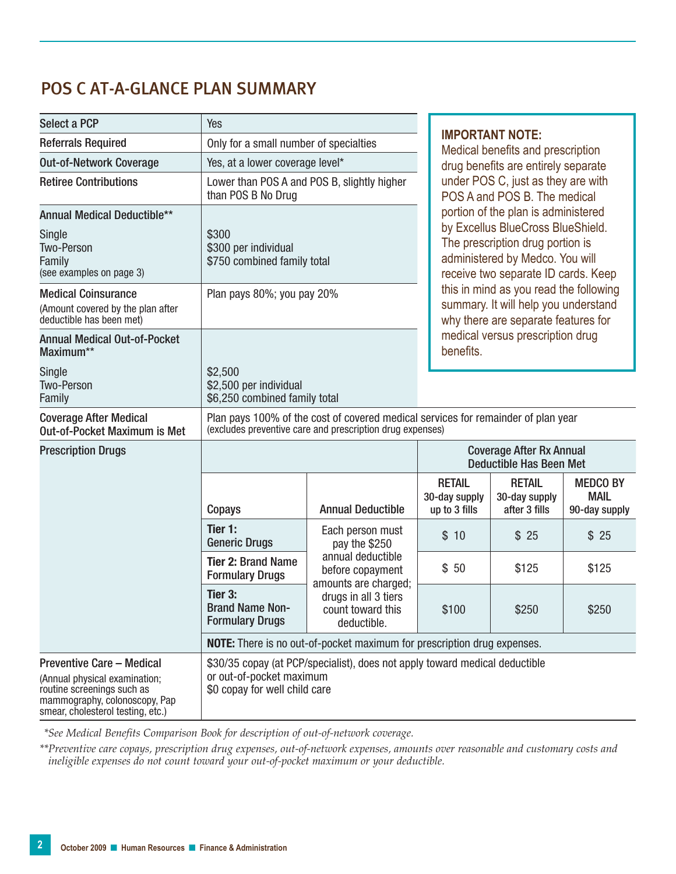### POS C AT-A-GLANCE PLAN SUMMARY

| <b>Select a PCP</b>                                                                                                                                                   | Yes                                                                                                                                            |                                                                                                    |  | <b>IMPORTANT NOTE:</b><br>Medical benefits and prescription<br>drug benefits are entirely separate<br>under POS C, just as they are with<br>POS A and POS B. The medical<br>portion of the plan is administered<br>by Excellus BlueCross BlueShield.<br>The prescription drug portion is<br>administered by Medco. You will<br>receive two separate ID cards. Keep |                                                 |                                                 |  |
|-----------------------------------------------------------------------------------------------------------------------------------------------------------------------|------------------------------------------------------------------------------------------------------------------------------------------------|----------------------------------------------------------------------------------------------------|--|--------------------------------------------------------------------------------------------------------------------------------------------------------------------------------------------------------------------------------------------------------------------------------------------------------------------------------------------------------------------|-------------------------------------------------|-------------------------------------------------|--|
| <b>Referrals Required</b>                                                                                                                                             | Only for a small number of specialties                                                                                                         |                                                                                                    |  |                                                                                                                                                                                                                                                                                                                                                                    |                                                 |                                                 |  |
| <b>Out-of-Network Coverage</b>                                                                                                                                        | Yes, at a lower coverage level*                                                                                                                |                                                                                                    |  |                                                                                                                                                                                                                                                                                                                                                                    |                                                 |                                                 |  |
| <b>Retiree Contributions</b>                                                                                                                                          | Lower than POS A and POS B, slightly higher<br>than POS B No Drug                                                                              |                                                                                                    |  |                                                                                                                                                                                                                                                                                                                                                                    |                                                 |                                                 |  |
| <b>Annual Medical Deductible**</b><br>Single<br><b>Two-Person</b><br>Family<br>(see examples on page 3)                                                               | \$300<br>\$300 per individual<br>\$750 combined family total                                                                                   |                                                                                                    |  |                                                                                                                                                                                                                                                                                                                                                                    |                                                 |                                                 |  |
| <b>Medical Coinsurance</b><br>(Amount covered by the plan after<br>deductible has been met)                                                                           | Plan pays 80%; you pay 20%                                                                                                                     |                                                                                                    |  | this in mind as you read the following<br>summary. It will help you understand<br>why there are separate features for<br>medical versus prescription drug<br>benefits.                                                                                                                                                                                             |                                                 |                                                 |  |
| <b>Annual Medical Out-of-Pocket</b><br>Maximum**                                                                                                                      |                                                                                                                                                |                                                                                                    |  |                                                                                                                                                                                                                                                                                                                                                                    |                                                 |                                                 |  |
| Single<br>Two-Person<br>Family                                                                                                                                        | \$2,500<br>\$2,500 per individual<br>\$6,250 combined family total                                                                             |                                                                                                    |  |                                                                                                                                                                                                                                                                                                                                                                    |                                                 |                                                 |  |
| <b>Coverage After Medical</b><br><b>Out-of-Pocket Maximum is Met</b>                                                                                                  | Plan pays 100% of the cost of covered medical services for remainder of plan year<br>(excludes preventive care and prescription drug expenses) |                                                                                                    |  |                                                                                                                                                                                                                                                                                                                                                                    |                                                 |                                                 |  |
| <b>Prescription Drugs</b>                                                                                                                                             |                                                                                                                                                |                                                                                                    |  | <b>Coverage After Rx Annual</b><br><b>Deductible Has Been Met</b>                                                                                                                                                                                                                                                                                                  |                                                 |                                                 |  |
|                                                                                                                                                                       | Copays                                                                                                                                         | <b>Annual Deductible</b>                                                                           |  | <b>RETAIL</b><br>30-day supply<br>up to 3 fills                                                                                                                                                                                                                                                                                                                    | <b>RETAIL</b><br>30-day supply<br>after 3 fills | <b>MEDCO BY</b><br><b>MAIL</b><br>90-day supply |  |
|                                                                                                                                                                       | Tier 1:<br><b>Generic Drugs</b>                                                                                                                | Each person must<br>pay the \$250<br>annual deductible<br>before copayment<br>amounts are charged; |  | \$10                                                                                                                                                                                                                                                                                                                                                               | \$25                                            | \$25                                            |  |
|                                                                                                                                                                       | <b>Tier 2: Brand Name</b><br><b>Formulary Drugs</b>                                                                                            |                                                                                                    |  | \$50                                                                                                                                                                                                                                                                                                                                                               | \$125                                           | \$125                                           |  |
|                                                                                                                                                                       | Tier 3:<br><b>Brand Name Non-</b><br><b>Formulary Drugs</b>                                                                                    | drugs in all 3 tiers<br>count toward this<br>deductible.                                           |  | \$100                                                                                                                                                                                                                                                                                                                                                              | \$250                                           | \$250                                           |  |
|                                                                                                                                                                       | <b>NOTE:</b> There is no out-of-pocket maximum for prescription drug expenses.                                                                 |                                                                                                    |  |                                                                                                                                                                                                                                                                                                                                                                    |                                                 |                                                 |  |
| <b>Preventive Care - Medical</b><br>(Annual physical examination;<br>routine screenings such as<br>mammography, colonoscopy, Pap<br>smear, cholesterol testing, etc.) | \$30/35 copay (at PCP/specialist), does not apply toward medical deductible<br>or out-of-pocket maximum<br>\$0 copay for well child care       |                                                                                                    |  |                                                                                                                                                                                                                                                                                                                                                                    |                                                 |                                                 |  |

*\*\*See Medical Benefits Comparison Book for description of out-of-network coverage.*

*\*\*Preventive care copays, prescription drug expenses, out-of-network expenses, amounts over reasonable and customary costs and ineligible expenses do not count toward your out-of-pocket maximum or your deductible.*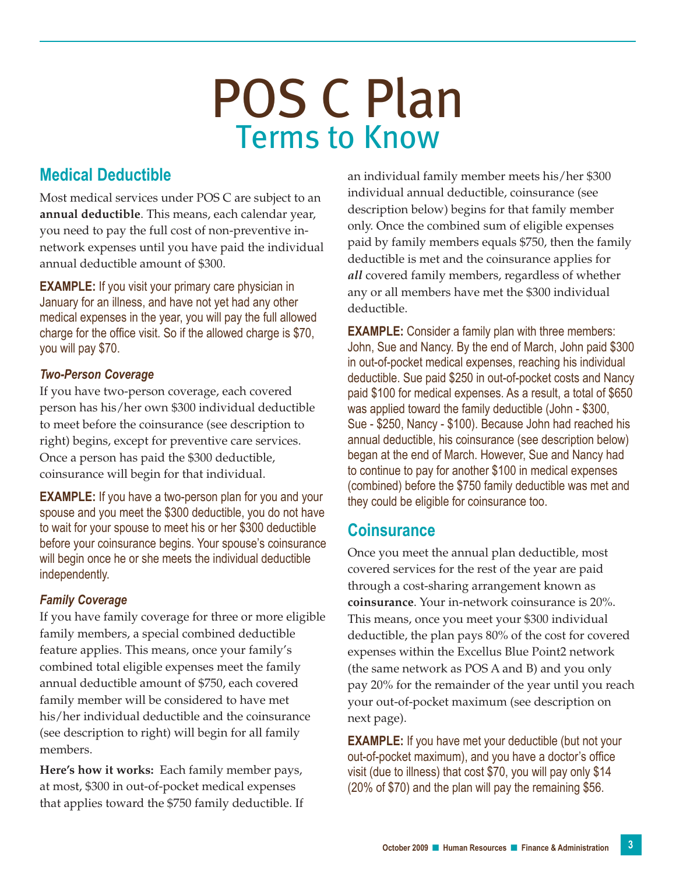### POS C Plan Terms to Know

### **Medical Deductible**

Most medical services under POS C are subject to an **annual deductible**. This means, each calendar year, you need to pay the full cost of non-preventive innetwork expenses until you have paid the individual annual deductible amount of \$300.

**EXAMPLE:** If you visit your primary care physician in January for an illness, and have not yet had any other medical expenses in the year, you will pay the full allowed charge for the office visit. So if the allowed charge is \$70, you will pay \$70.

#### *Two-Person Coverage*

If you have two-person coverage, each covered person has his/her own \$300 individual deductible to meet before the coinsurance (see description to right) begins, except for preventive care services. Once a person has paid the \$300 deductible, coinsurance will begin for that individual.

**EXAMPLE:** If you have a two-person plan for you and your spouse and you meet the \$300 deductible, you do not have to wait for your spouse to meet his or her \$300 deductible before your coinsurance begins. Your spouse's coinsurance will begin once he or she meets the individual deductible independently.

### *Family Coverage*

If you have family coverage for three or more eligible family members, a special combined deductible feature applies. This means, once your family's combined total eligible expenses meet the family annual deductible amount of \$750, each covered family member will be considered to have met his/her individual deductible and the coinsurance (see description to right) will begin for all family members.

**Here's how it works:** Each family member pays, at most, \$300 in out-of-pocket medical expenses that applies toward the \$750 family deductible. If an individual family member meets his/her \$300 individual annual deductible, coinsurance (see description below) begins for that family member only. Once the combined sum of eligible expenses paid by family members equals \$750, then the family deductible is met and the coinsurance applies for *all* covered family members, regardless of whether any or all members have met the \$300 individual deductible.

**EXAMPLE:** Consider a family plan with three members: John, Sue and Nancy. By the end of March, John paid \$300 in out-of-pocket medical expenses, reaching his individual deductible. Sue paid \$250 in out-of-pocket costs and Nancy paid \$100 for medical expenses. As a result, a total of \$650 was applied toward the family deductible (John - \$300, Sue - \$250, Nancy - \$100). Because John had reached his annual deductible, his coinsurance (see description below) began at the end of March. However, Sue and Nancy had to continue to pay for another \$100 in medical expenses (combined) before the \$750 family deductible was met and they could be eligible for coinsurance too.

### **Coinsurance**

Once you meet the annual plan deductible, most covered services for the rest of the year are paid through a cost-sharing arrangement known as **coinsurance**. Your in-network coinsurance is 20%. This means, once you meet your \$300 individual deductible, the plan pays 80% of the cost for covered expenses within the Excellus Blue Point2 network (the same network as POS A and B) and you only pay 20% for the remainder of the year until you reach your out-of-pocket maximum (see description on next page).

**EXAMPLE:** If you have met your deductible (but not your out-of-pocket maximum), and you have a doctor's office visit (due to illness) that cost \$70, you will pay only \$14 (20% of \$70) and the plan will pay the remaining \$56.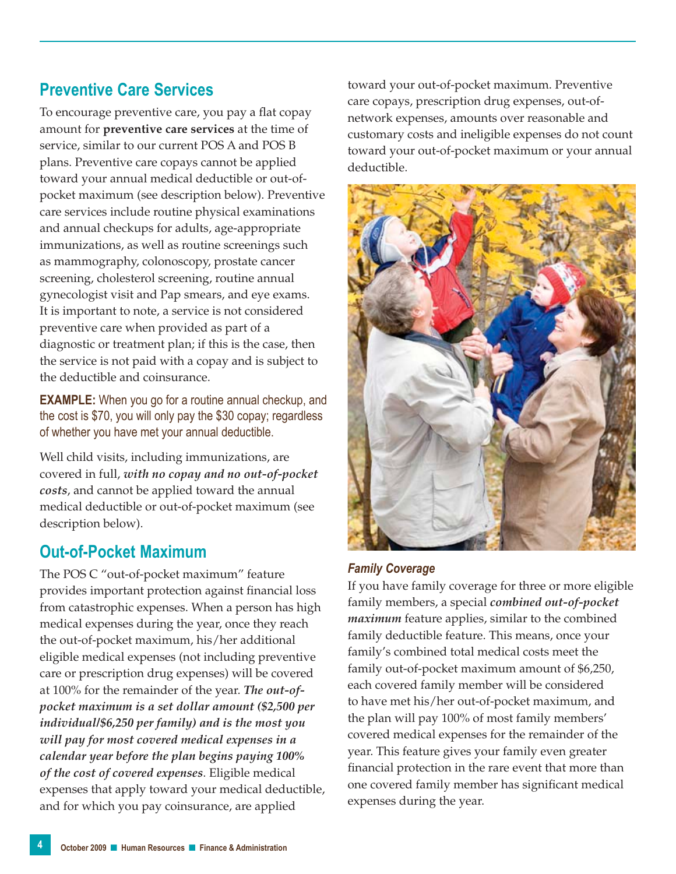### **Preventive Care Services**

To encourage preventive care, you pay a flat copay amount for **preventive care services** at the time of service, similar to our current POS A and POS B plans. Preventive care copays cannot be applied toward your annual medical deductible or out-ofpocket maximum (see description below). Preventive care services include routine physical examinations and annual checkups for adults, age-appropriate immunizations, as well as routine screenings such as mammography, colonoscopy, prostate cancer screening, cholesterol screening, routine annual gynecologist visit and Pap smears, and eye exams. It is important to note, a service is not considered preventive care when provided as part of a diagnostic or treatment plan; if this is the case, then the service is not paid with a copay and is subject to the deductible and coinsurance.

**EXAMPLE:** When you go for a routine annual checkup, and the cost is \$70, you will only pay the \$30 copay; regardless of whether you have met your annual deductible.

Well child visits, including immunizations, are covered in full, *with no copay and no out-of-pocket costs*, and cannot be applied toward the annual medical deductible or out-of-pocket maximum (see description below).

### **Out-of-Pocket Maximum**

The POS C "out-of-pocket maximum" feature provides important protection against financial loss from catastrophic expenses. When a person has high medical expenses during the year, once they reach the out-of-pocket maximum, his/her additional eligible medical expenses (not including preventive care or prescription drug expenses) will be covered at 100% for the remainder of the year. *The out-ofpocket maximum is a set dollar amount (\$2,500 per individual/\$6,250 per family) and is the most you will pay for most covered medical expenses in a calendar year before the plan begins paying 100% of the cost of covered expenses*. Eligible medical expenses that apply toward your medical deductible, and for which you pay coinsurance, are applied

toward your out-of-pocket maximum. Preventive care copays, prescription drug expenses, out-ofnetwork expenses, amounts over reasonable and customary costs and ineligible expenses do not count toward your out-of-pocket maximum or your annual deductible.



#### *Family Coverage*

If you have family coverage for three or more eligible family members, a special *combined out-of-pocket maximum* feature applies, similar to the combined family deductible feature. This means, once your family's combined total medical costs meet the family out-of-pocket maximum amount of \$6,250, each covered family member will be considered to have met his/her out-of-pocket maximum, and the plan will pay 100% of most family members' covered medical expenses for the remainder of the year. This feature gives your family even greater financial protection in the rare event that more than one covered family member has significant medical expenses during the year.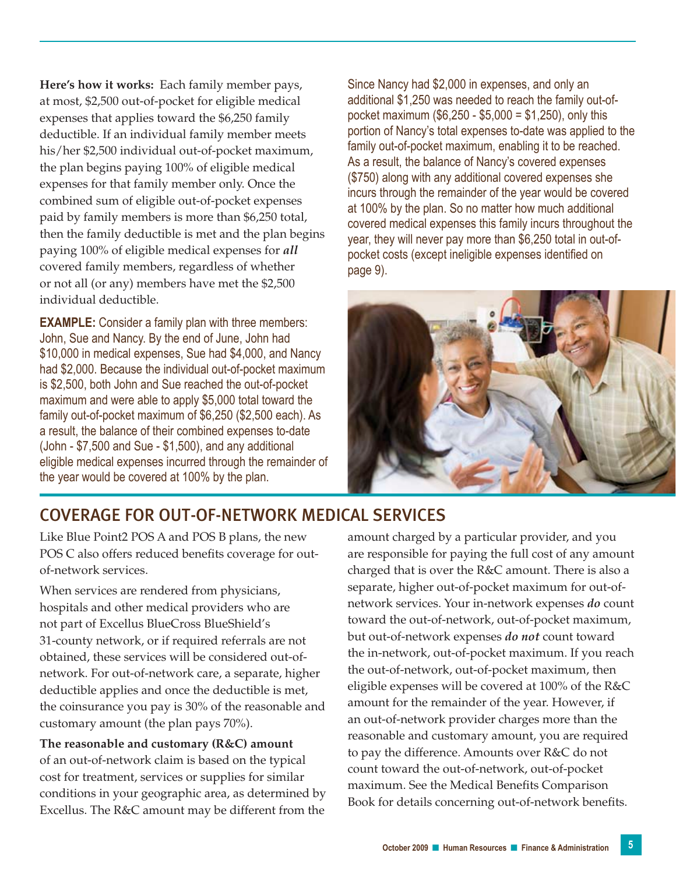**Here's how it works:** Each family member pays, at most, \$2,500 out-of-pocket for eligible medical expenses that applies toward the \$6,250 family deductible. If an individual family member meets his/her \$2,500 individual out-of-pocket maximum, the plan begins paying 100% of eligible medical expenses for that family member only. Once the combined sum of eligible out-of-pocket expenses paid by family members is more than \$6,250 total, then the family deductible is met and the plan begins paying 100% of eligible medical expenses for *all* covered family members, regardless of whether or not all (or any) members have met the \$2,500 individual deductible.

**EXAMPLE:** Consider a family plan with three members: John, Sue and Nancy. By the end of June, John had \$10,000 in medical expenses, Sue had \$4,000, and Nancy had \$2,000. Because the individual out-of-pocket maximum is \$2,500, both John and Sue reached the out-of-pocket maximum and were able to apply \$5,000 total toward the family out-of-pocket maximum of \$6,250 (\$2,500 each). As a result, the balance of their combined expenses to-date (John - \$7,500 and Sue - \$1,500), and any additional eligible medical expenses incurred through the remainder of the year would be covered at 100% by the plan.

Since Nancy had \$2,000 in expenses, and only an additional \$1,250 was needed to reach the family out-ofpocket maximum (\$6,250 - \$5,000 = \$1,250), only this portion of Nancy's total expenses to-date was applied to the family out-of-pocket maximum, enabling it to be reached. As a result, the balance of Nancy's covered expenses (\$750) along with any additional covered expenses she incurs through the remainder of the year would be covered at 100% by the plan. So no matter how much additional covered medical expenses this family incurs throughout the year, they will never pay more than \$6,250 total in out-ofpocket costs (except ineligible expenses identified on page 9).



### Coverage for Out-of-Network Medical Services

Like Blue Point2 POS A and POS B plans, the new POS C also offers reduced benefits coverage for outof-network services.

When services are rendered from physicians, hospitals and other medical providers who are not part of Excellus BlueCross BlueShield's 31-county network, or if required referrals are not obtained, these services will be considered out-ofnetwork. For out-of-network care, a separate, higher deductible applies and once the deductible is met, the coinsurance you pay is 30% of the reasonable and customary amount (the plan pays 70%).

**The reasonable and customary (R&C) amount** of an out-of-network claim is based on the typical cost for treatment, services or supplies for similar conditions in your geographic area, as determined by Excellus. The R&C amount may be different from the

amount charged by a particular provider, and you are responsible for paying the full cost of any amount charged that is over the R&C amount. There is also a separate, higher out-of-pocket maximum for out-ofnetwork services. Your in-network expenses *do* count toward the out-of-network, out-of-pocket maximum, but out-of-network expenses *do not* count toward the in-network, out-of-pocket maximum. If you reach the out-of-network, out-of-pocket maximum, then eligible expenses will be covered at 100% of the R&C amount for the remainder of the year. However, if an out-of-network provider charges more than the reasonable and customary amount, you are required to pay the difference. Amounts over R&C do not count toward the out-of-network, out-of-pocket maximum. See the Medical Benefits Comparison Book for details concerning out-of-network benefits.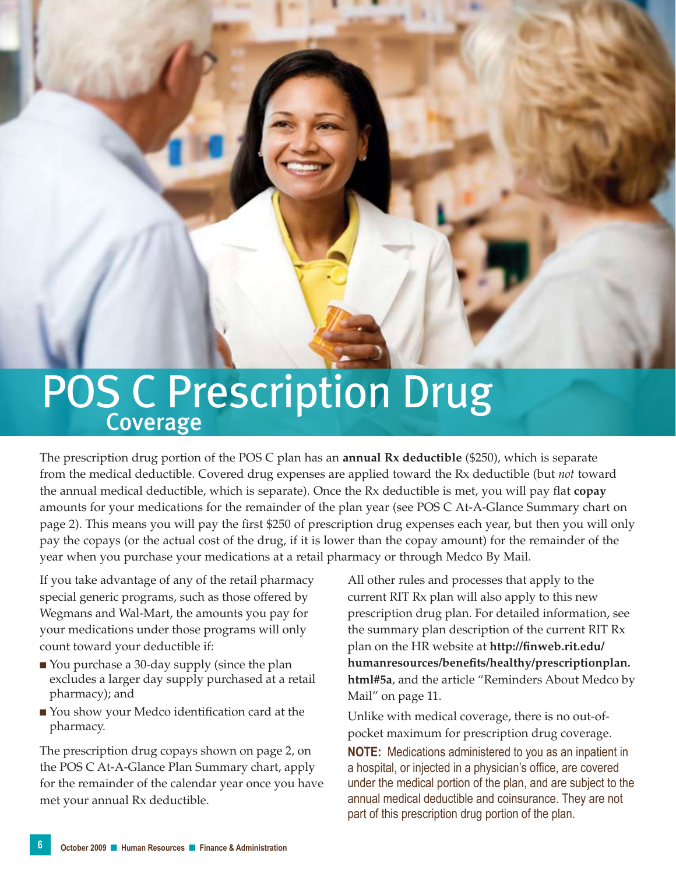## POS C Prescription Drug

The prescription drug portion of the POS C plan has an **annual Rx deductible** (\$250), which is separate from the medical deductible. Covered drug expenses are applied toward the Rx deductible (but *not* toward the annual medical deductible, which is separate). Once the Rx deductible is met, you will pay flat **copay** amounts for your medications for the remainder of the plan year (see POS C At-A-Glance Summary chart on page 2). This means you will pay the first \$250 of prescription drug expenses each year, but then you will only pay the copays (or the actual cost of the drug, if it is lower than the copay amount) for the remainder of the year when you purchase your medications at a retail pharmacy or through Medco By Mail.

If you take advantage of any of the retail pharmacy special generic programs, such as those offered by Wegmans and Wal-Mart, the amounts you pay for your medications under those programs will only count toward your deductible if:

- You purchase a 30-day supply (since the plan excludes a larger day supply purchased at a retail pharmacy); and
- You show your Medco identification card at the pharmacy.

The prescription drug copays shown on page 2, on the POS C At-A-Glance Plan Summary chart, apply for the remainder of the calendar year once you have met your annual Rx deductible.

All other rules and processes that apply to the current RIT Rx plan will also apply to this new prescription drug plan. For detailed information, see the summary plan description of the current RIT Rx plan on the HR website at **http://finweb.rit.edu/ humanresources/benefits/healthy/prescriptionplan. html#5a**, and the article "Reminders About Medco by Mail" on page 11.

Unlike with medical coverage, there is no out-ofpocket maximum for prescription drug coverage.

**NOTE:** Medications administered to you as an inpatient in a hospital, or injected in a physician's office, are covered under the medical portion of the plan, and are subject to the annual medical deductible and coinsurance. They are not part of this prescription drug portion of the plan.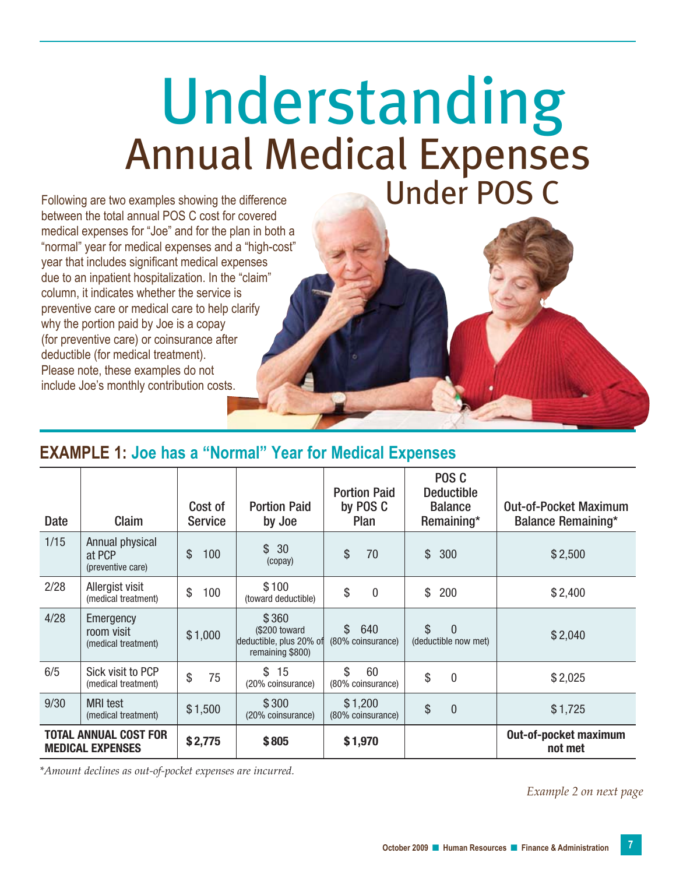## Annual Medical Expenses Understanding Following are two examples showing the difference Under POS C

between the total annual POS C cost for covered medical expenses for "Joe" and for the plan in both a "normal" year for medical expenses and a "high-cost" year that includes significant medical expenses due to an inpatient hospitalization. In the "claim" column, it indicates whether the service is preventive care or medical care to help clarify why the portion paid by Joe is a copay (for preventive care) or coinsurance after deductible (for medical treatment). Please note, these examples do not include Joe's monthly contribution costs.

### **Example 1: Joe has a "Normal" Year for Medical Expenses**

| Date | Claim                                                   | Cost of<br><b>Service</b> | <b>Portion Paid</b><br>by Joe                                         | <b>Portion Paid</b><br>by POS C<br>Plan  | POS <sub>C</sub><br><b>Deductible</b><br><b>Balance</b><br>Remaining* | <b>Out-of-Pocket Maximum</b><br><b>Balance Remaining*</b> |
|------|---------------------------------------------------------|---------------------------|-----------------------------------------------------------------------|------------------------------------------|-----------------------------------------------------------------------|-----------------------------------------------------------|
| 1/15 | Annual physical<br>at PCP<br>(preventive care)          | \$<br>100                 | \$<br>30<br>(copay)                                                   | \$<br>70                                 | $\mathbb{S}$<br>300                                                   | \$2,500                                                   |
| 2/28 | Allergist visit<br>(medical treatment)                  | \$<br>100                 | \$100<br>(toward deductible)                                          | \$<br>$\mathbf{0}$                       | \$<br>200                                                             | \$2,400                                                   |
| 4/28 | Emergency<br>room visit<br>(medical treatment)          | \$1,000                   | \$360<br>(\$200 toward<br>deductible, plus 20% of<br>remaining \$800) | $\mathbb{S}$<br>640<br>(80% coinsurance) | $\mathbb{S}$<br>$\Omega$<br>(deductible now met)                      | \$2,040                                                   |
| 6/5  | Sick visit to PCP<br>(medical treatment)                | \$<br>75                  | \$<br>15<br>(20% coinsurance)                                         | \$<br>60<br>(80% coinsurance)            | \$<br>$\mathbf{0}$                                                    | \$2,025                                                   |
| 9/30 | <b>MRI</b> test<br>(medical treatment)                  | \$1,500                   | \$300<br>(20% coinsurance)                                            | \$1,200<br>(80% coinsurance)             | \$<br>$\overline{0}$                                                  | \$1,725                                                   |
|      | <b>TOTAL ANNUAL COST FOR</b><br><b>MEDICAL EXPENSES</b> | \$2,775                   | \$805                                                                 | \$1,970                                  |                                                                       | Out-of-pocket maximum<br>not met                          |

*\*Amount declines as out-of-pocket expenses are incurred.* 

*Example 2 on next page*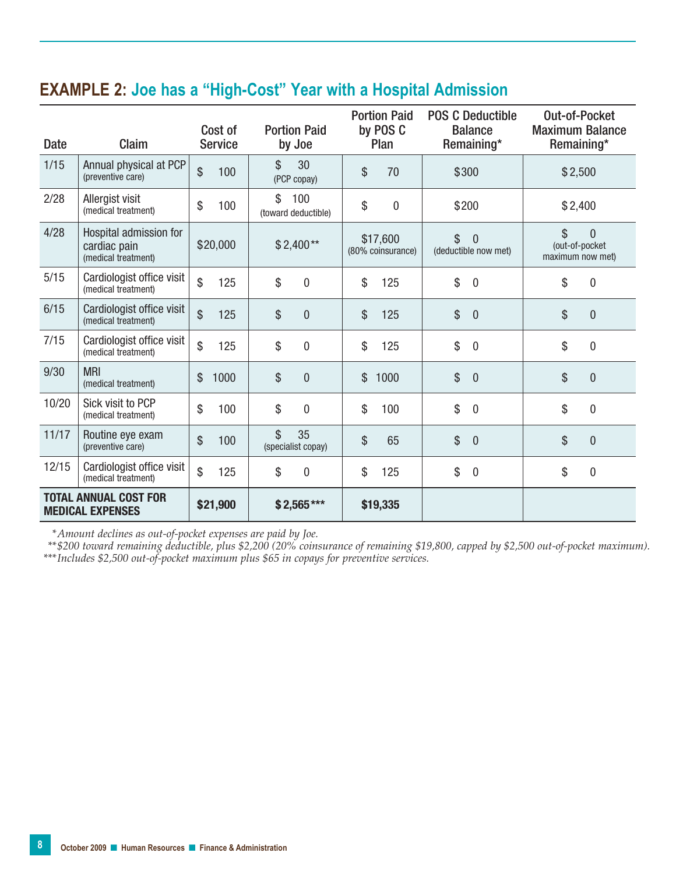### **Example 2: Joe has a "High-Cost" Year with a Hospital Admission**

| <b>Date</b> | Claim                                                         | Cost of<br><b>Service</b> | <b>Portion Paid</b><br>by Joe    | <b>Portion Paid</b><br>by POS C<br>Plan | <b>POS C Deductible</b><br><b>Balance</b><br>Remaining* | Out-of-Pocket<br><b>Maximum Balance</b><br>Remaining*      |
|-------------|---------------------------------------------------------------|---------------------------|----------------------------------|-----------------------------------------|---------------------------------------------------------|------------------------------------------------------------|
| 1/15        | Annual physical at PCP<br>(preventive care)                   | $\mathcal{S}$<br>100      | \$<br>30<br>(PCP copay)          | \$<br>70                                | \$300                                                   | \$2,500                                                    |
| 2/28        | Allergist visit<br>(medical treatment)                        | \$<br>100                 | \$<br>100<br>(toward deductible) | \$<br>$\mathbf 0$                       | \$200                                                   | \$2,400                                                    |
| 4/28        | Hospital admission for<br>cardiac pain<br>(medical treatment) | \$20,000                  | $$2,400**$                       | \$17,600<br>(80% coinsurance)           | \$<br>$\mathbf{0}$<br>(deductible now met)              | \$<br>$\overline{0}$<br>(out-of-pocket<br>maximum now met) |
| 5/15        | Cardiologist office visit                                     | $\mathbb{S}$              | \$                               | \$                                      | \$                                                      | \$                                                         |
|             | (medical treatment)                                           | 125                       | $\mathbf 0$                      | 125                                     | $\mathbf 0$                                             | 0                                                          |
| 6/15        | Cardiologist office visit                                     | $\mathcal{S}$             | \$                               | \$                                      | \$                                                      | \$                                                         |
|             | (medical treatment)                                           | 125                       | $\mathbf{0}$                     | 125                                     | $\mathbf{0}$                                            | 0                                                          |
| 7/15        | Cardiologist office visit                                     | \$                        | \$                               | \$                                      | \$                                                      | \$                                                         |
|             | (medical treatment)                                           | 125                       | $\overline{0}$                   | 125                                     | $\mathbf 0$                                             | 0                                                          |
| 9/30        | <b>MRI</b>                                                    | $\mathcal{S}$             | \$                               | \$                                      | \$                                                      | \$                                                         |
|             | (medical treatment)                                           | 1000                      | $\overline{0}$                   | 1000                                    | $\mathbf{0}$                                            | $\overline{0}$                                             |
| 10/20       | Sick visit to PCP                                             | $\mathcal{S}$             | \$                               | \$                                      | \$                                                      | \$                                                         |
|             | (medical treatment)                                           | 100                       | $\overline{0}$                   | 100                                     | $\mathbf 0$                                             | 0                                                          |
| 11/17       | Routine eye exam<br>(preventive care)                         | \$<br>100                 | \$<br>35<br>(specialist copay)   | \$<br>65                                | \$<br>$\mathbf{0}$                                      | \$<br>0                                                    |
| 12/15       | Cardiologist office visit                                     | $\mathbb{S}$              | \$                               | \$                                      | \$                                                      | \$                                                         |
|             | (medical treatment)                                           | 125                       | $\bf{0}$                         | 125                                     | $\mathbf 0$                                             | $\mathbf 0$                                                |
|             | <b>TOTAL ANNUAL COST FOR</b><br><b>MEDICAL EXPENSES</b>       | \$21,900                  | $$2,565***$                      | \$19,335                                |                                                         |                                                            |

*\*Amount declines as out-of-pocket expenses are paid by Joe.*

*\*\* \$200 toward remaining deductible, plus \$2,200 (20% coinsurance of remaining \$19,800, capped by \$2,500 out-of-pocket maximum). \*\*\*Includes \$2,500 out-of-pocket maximum plus \$65 in copays for preventive services.*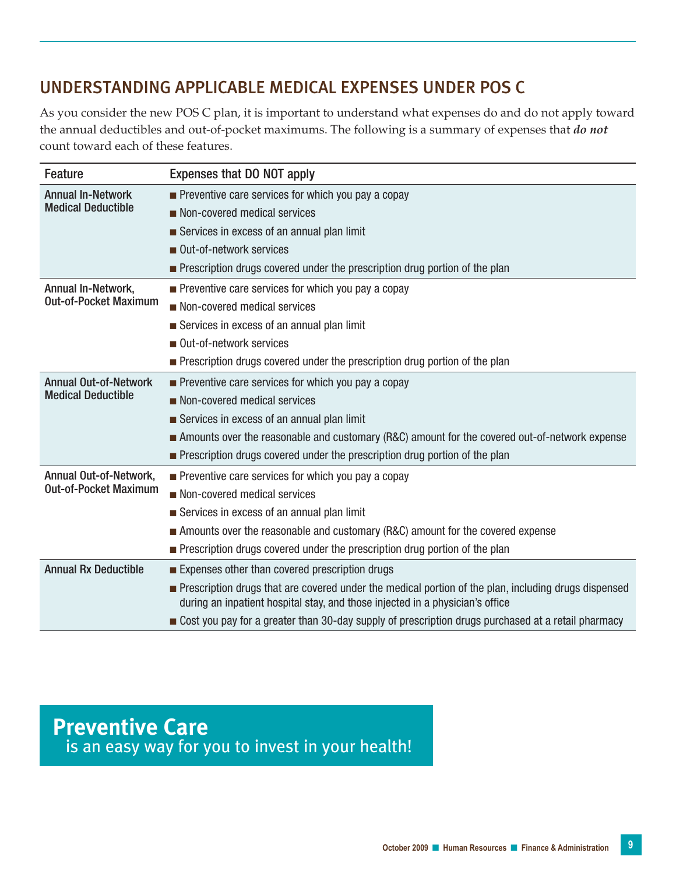### UNDERSTANDING APPLICABLE MEDICAL EXPENSES UNDER POS C

As you consider the new POS C plan, it is important to understand what expenses do and do not apply toward the annual deductibles and out-of-pocket maximums. The following is a summary of expenses that *do not* count toward each of these features.

| <b>Feature</b>               | Expenses that DO NOT apply                                                                                                                                                                   |  |  |  |  |
|------------------------------|----------------------------------------------------------------------------------------------------------------------------------------------------------------------------------------------|--|--|--|--|
| <b>Annual In-Network</b>     | $\blacksquare$ Preventive care services for which you pay a copay                                                                                                                            |  |  |  |  |
| <b>Medical Deductible</b>    | Non-covered medical services                                                                                                                                                                 |  |  |  |  |
|                              | Services in excess of an annual plan limit                                                                                                                                                   |  |  |  |  |
|                              | Out-of-network services                                                                                                                                                                      |  |  |  |  |
|                              | • Prescription drugs covered under the prescription drug portion of the plan                                                                                                                 |  |  |  |  |
| Annual In-Network,           | $\blacksquare$ Preventive care services for which you pay a copay                                                                                                                            |  |  |  |  |
| <b>Out-of-Pocket Maximum</b> | Non-covered medical services                                                                                                                                                                 |  |  |  |  |
|                              | Services in excess of an annual plan limit                                                                                                                                                   |  |  |  |  |
|                              | Out-of-network services                                                                                                                                                                      |  |  |  |  |
|                              | Prescription drugs covered under the prescription drug portion of the plan                                                                                                                   |  |  |  |  |
| <b>Annual Out-of-Network</b> | $\blacksquare$ Preventive care services for which you pay a copay                                                                                                                            |  |  |  |  |
| <b>Medical Deductible</b>    | Non-covered medical services                                                                                                                                                                 |  |  |  |  |
|                              | Services in excess of an annual plan limit                                                                                                                                                   |  |  |  |  |
|                              | Amounts over the reasonable and customary (R&C) amount for the covered out-of-network expense                                                                                                |  |  |  |  |
|                              | Prescription drugs covered under the prescription drug portion of the plan                                                                                                                   |  |  |  |  |
| Annual Out-of-Network,       | $\blacksquare$ Preventive care services for which you pay a copay                                                                                                                            |  |  |  |  |
| <b>Out-of-Pocket Maximum</b> | Non-covered medical services                                                                                                                                                                 |  |  |  |  |
|                              | Services in excess of an annual plan limit                                                                                                                                                   |  |  |  |  |
|                              | Amounts over the reasonable and customary (R&C) amount for the covered expense                                                                                                               |  |  |  |  |
|                              | Prescription drugs covered under the prescription drug portion of the plan                                                                                                                   |  |  |  |  |
| <b>Annual Rx Deductible</b>  | Expenses other than covered prescription drugs                                                                                                                                               |  |  |  |  |
|                              | <b>Prescription drugs that are covered under the medical portion of the plan, including drugs dispensed</b><br>during an inpatient hospital stay, and those injected in a physician's office |  |  |  |  |
|                              | ■ Cost you pay for a greater than 30-day supply of prescription drugs purchased at a retail pharmacy                                                                                         |  |  |  |  |

**Preventive Care**  is an easy way for you to invest in your health!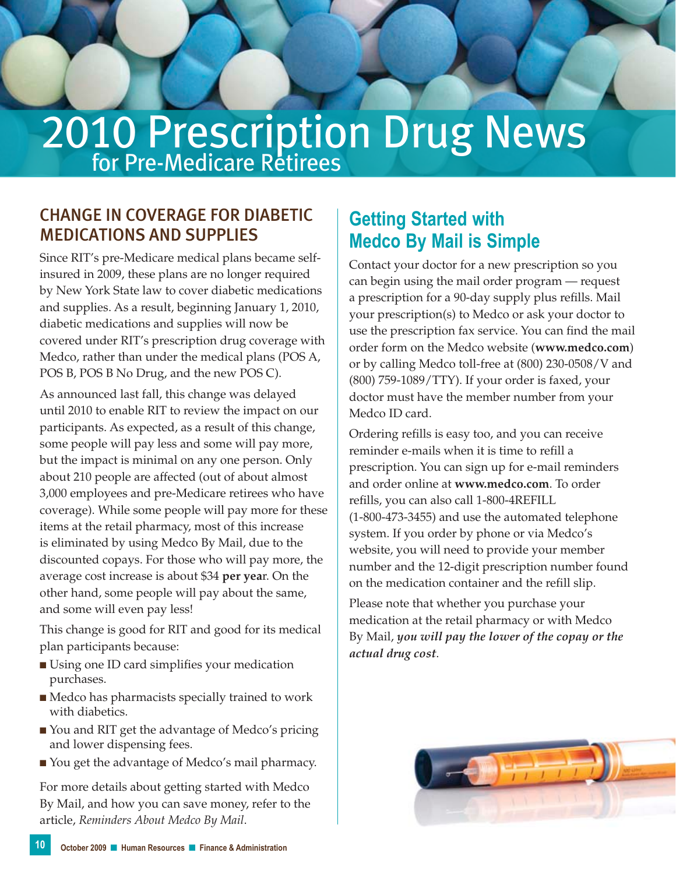# 2010 Prescription Drug News

### Change in coverage for Diabetic Medications and Supplies

Since RIT's pre-Medicare medical plans became selfinsured in 2009, these plans are no longer required by New York State law to cover diabetic medications and supplies. As a result, beginning January 1, 2010, diabetic medications and supplies will now be covered under RIT's prescription drug coverage with Medco, rather than under the medical plans (POS A, POS B, POS B No Drug, and the new POS C).

As announced last fall, this change was delayed until 2010 to enable RIT to review the impact on our participants. As expected, as a result of this change, some people will pay less and some will pay more, but the impact is minimal on any one person. Only about 210 people are affected (out of about almost 3,000 employees and pre-Medicare retirees who have coverage). While some people will pay more for these items at the retail pharmacy, most of this increase is eliminated by using Medco By Mail, due to the discounted copays. For those who will pay more, the average cost increase is about \$34 **per yea**r. On the other hand, some people will pay about the same, and some will even pay less!

This change is good for RIT and good for its medical plan participants because:

- Using one ID card simplifies your medication purchases.
- Medco has pharmacists specially trained to work with diabetics.
- You and RIT get the advantage of Medco's pricing and lower dispensing fees.
- You get the advantage of Medco's mail pharmacy.

For more details about getting started with Medco By Mail, and how you can save money, refer to the article, *Reminders About Medco By Mail*.

### **Getting Started with Medco By Mail is Simple**

Contact your doctor for a new prescription so you can begin using the mail order program — request a prescription for a 90-day supply plus refills. Mail your prescription(s) to Medco or ask your doctor to use the prescription fax service. You can find the mail order form on the Medco website (**www.medco.com**) or by calling Medco toll-free at (800) 230-0508/V and (800) 759-1089/TTY). If your order is faxed, your doctor must have the member number from your Medco ID card.

Ordering refills is easy too, and you can receive reminder e-mails when it is time to refill a prescription. You can sign up for e-mail reminders and order online at **www.medco.com**. To order refills, you can also call 1-800-4REFILL (1-800-473-3455) and use the automated telephone system. If you order by phone or via Medco's website, you will need to provide your member number and the 12-digit prescription number found on the medication container and the refill slip.

Please note that whether you purchase your medication at the retail pharmacy or with Medco By Mail, *you will pay the lower of the copay or the actual drug cost*.

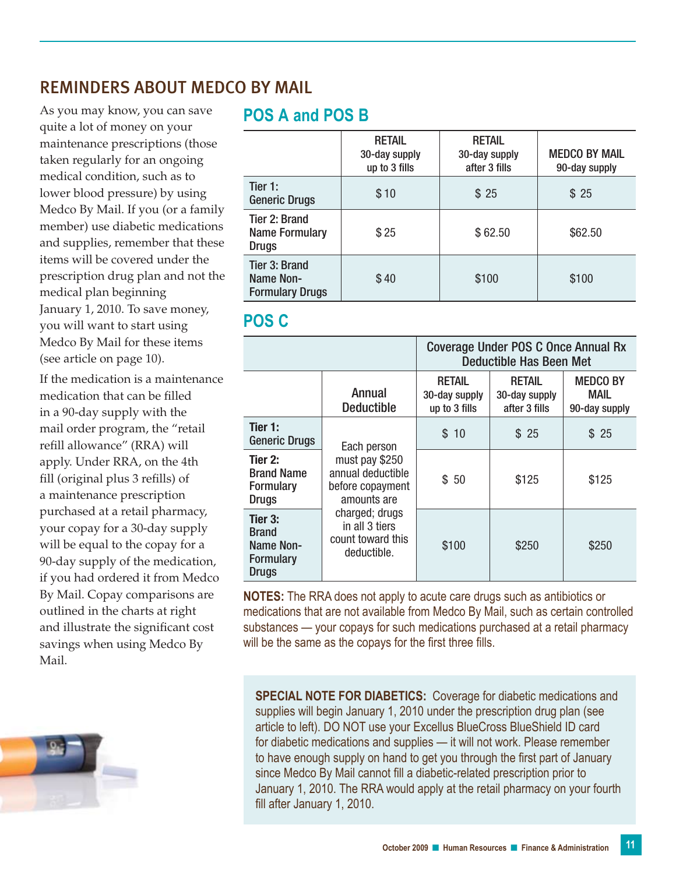### Reminders About Medco By Mail

As you may know, you can save quite a lot of money on your maintenance prescriptions (those taken regularly for an ongoing medical condition, such as to lower blood pressure) by using Medco By Mail. If you (or a family member) use diabetic medications and supplies, remember that these items will be covered under the prescription drug plan and not the medical plan beginning January 1, 2010. To save money, you will want to start using Medco By Mail for these items (see article on page 10).

If the medication is a maintenance medication that can be filled in a 90-day supply with the mail order program, the "retail refill allowance" (RRA) will apply. Under RRA, on the 4th fill (original plus 3 refills) of a maintenance prescription purchased at a retail pharmacy, your copay for a 30-day supply will be equal to the copay for a 90-day supply of the medication, if you had ordered it from Medco By Mail. Copay comparisons are outlined in the charts at right and illustrate the significant cost savings when using Medco By Mail.



### **POS A and POS B**

|                                                        | <b>RETAIL</b><br>30-day supply<br>up to 3 fills | <b>RETAIL</b><br>30-day supply<br>after 3 fills | <b>MEDCO BY MAIL</b><br>90-day supply |
|--------------------------------------------------------|-------------------------------------------------|-------------------------------------------------|---------------------------------------|
| Tier 1:<br><b>Generic Drugs</b>                        | \$10                                            | \$25                                            | \$25                                  |
| Tier 2: Brand<br><b>Name Formulary</b><br><b>Drugs</b> | \$25                                            | \$62.50                                         | \$62.50                               |
| Tier 3: Brand<br>Name Non-<br><b>Formulary Drugs</b>   | \$40                                            | \$100                                           | \$100                                 |

### **POS C**

|                                                                          |                                                                                                                                                               | <b>Coverage Under POS C Once Annual Rx</b><br>Deductible Has Been Met |                                                 |                                          |  |
|--------------------------------------------------------------------------|---------------------------------------------------------------------------------------------------------------------------------------------------------------|-----------------------------------------------------------------------|-------------------------------------------------|------------------------------------------|--|
|                                                                          | Annual<br><b>Deductible</b>                                                                                                                                   | <b>RETAIL</b><br>30-day supply<br>up to 3 fills                       | <b>RETAIL</b><br>30-day supply<br>after 3 fills | <b>MEDCO BY</b><br>MAIL<br>90-day supply |  |
| Tier 1:<br><b>Generic Drugs</b>                                          | Each person<br>must pay \$250<br>annual deductible<br>before copayment<br>amounts are<br>charged; drugs<br>in all 3 tiers<br>count toward this<br>deductible. | \$10                                                                  | \$25                                            | \$25                                     |  |
| Tier 2:<br><b>Brand Name</b><br><b>Formulary</b><br><b>Drugs</b>         |                                                                                                                                                               | \$50                                                                  | \$125                                           | \$125                                    |  |
| Tier 3:<br><b>Brand</b><br>Name Non-<br><b>Formulary</b><br><b>Drugs</b> |                                                                                                                                                               | \$100                                                                 | \$250                                           | \$250                                    |  |

**NOTES:** The RRA does not apply to acute care drugs such as antibiotics or medications that are not available from Medco By Mail, such as certain controlled substances — your copays for such medications purchased at a retail pharmacy will be the same as the copays for the first three fills.

**SPECIAL NOTE FOR DIABETICS:** Coverage for diabetic medications and supplies will begin January 1, 2010 under the prescription drug plan (see article to left). DO NOT use your Excellus BlueCross BlueShield ID card for diabetic medications and supplies — it will not work. Please remember to have enough supply on hand to get you through the first part of January since Medco By Mail cannot fill a diabetic-related prescription prior to January 1, 2010. The RRA would apply at the retail pharmacy on your fourth fill after January 1, 2010.